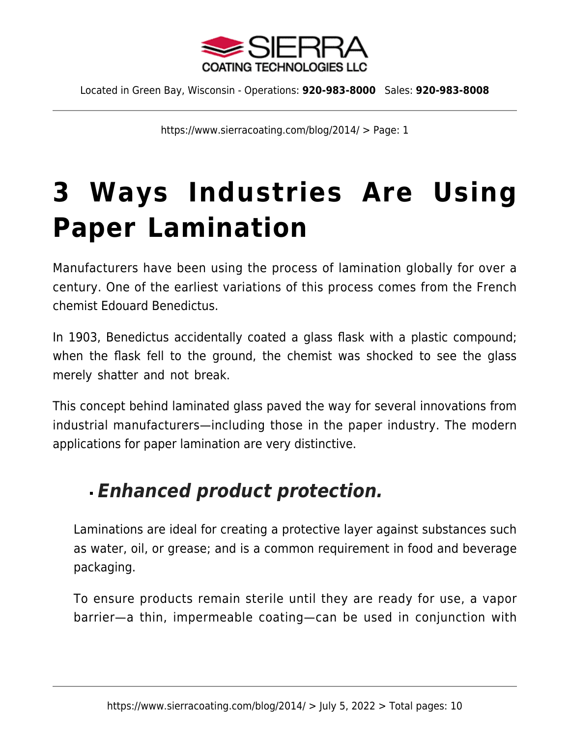

https://www.sierracoating.com/blog/2014/ > Page: 1

# **[3 Ways Industries Are Using](https://www.sierracoating.com/blog/3-ways-industries-using-paper-lamination/) [Paper Lamination](https://www.sierracoating.com/blog/3-ways-industries-using-paper-lamination/)**

Manufacturers have been using the process of lamination globally for over a century. One of the earliest variations of this process comes from the French chemist Edouard Benedictus.

In 1903, Benedictus accidentally coated a glass flask with a plastic compound; when the flask fell to the ground, the chemist was shocked to see the glass merely shatter and not break.

This concept behind laminated glass paved the way for several innovations from industrial manufacturers—including those in the paper industry. The modern applications for [paper lamination](https://www.sierracoating.com/paper-and-paperboard-lamination.html) are very distinctive.

## *Enhanced product protection.*

Laminations are ideal for creating a protective layer against substances such as water, oil, or grease; and is a common requirement in [food and beverage](https://www.sierracoating.com/specialty-products/food-grade-products/food-grade-packaging-labels/) [packaging.](https://www.sierracoating.com/specialty-products/food-grade-products/food-grade-packaging-labels/)

To ensure products remain sterile until they are ready for use, a vapor barrier—a thin, impermeable coating—can be used in conjunction with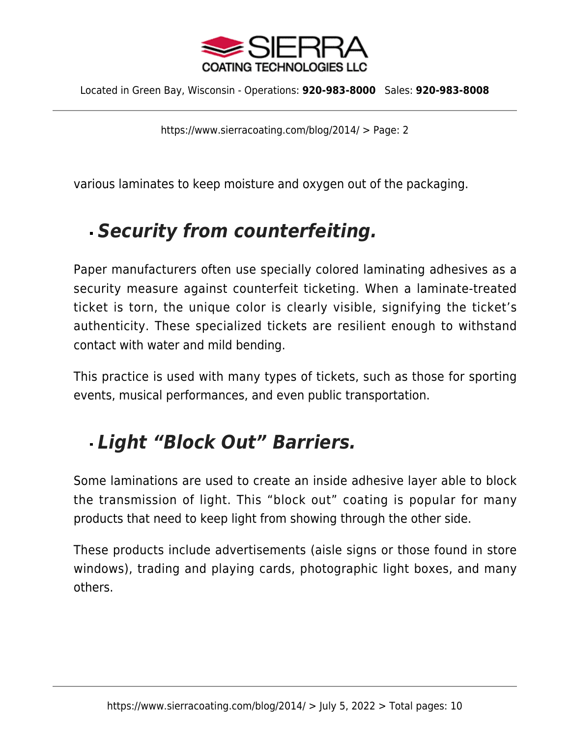

https://www.sierracoating.com/blog/2014/ > Page: 2

various laminates to keep moisture and oxygen out of the packaging.

## *Security from counterfeiting.*

Paper manufacturers often use specially colored laminating adhesives as a security measure against counterfeit ticketing. When a laminate-treated ticket is torn, the unique color is clearly visible, signifying the ticket's authenticity. These specialized tickets are resilient enough to withstand contact with water and mild bending.

This practice is used with many types of tickets, such as those for sporting events, musical performances, and even public transportation.

## *Light "Block Out" Barriers.*

Some laminations are used to create an inside adhesive layer able to block the transmission of light. This "block out" coating is popular for many products that need to keep light from showing through the other side.

These products include advertisements (aisle signs or those found in store windows), trading and playing cards, photographic light boxes, and many others.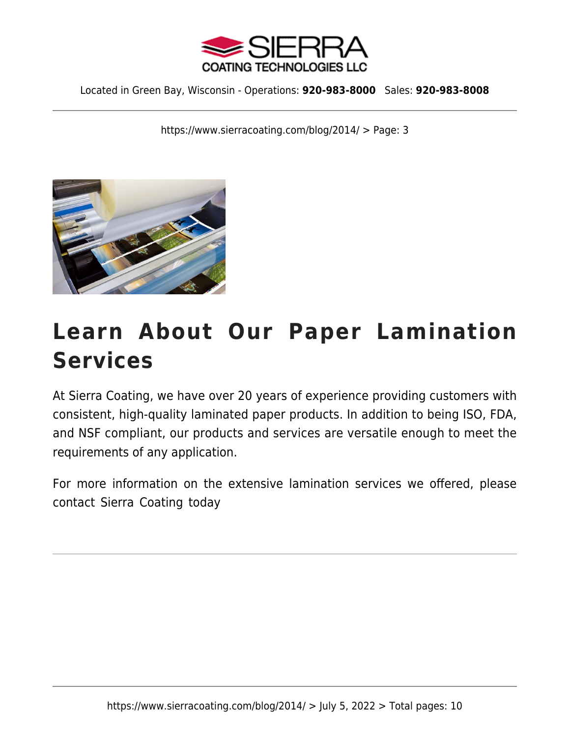

https://www.sierracoating.com/blog/2014/ > Page: 3



## **Learn About Our Paper Lamination Services**

At Sierra Coating, we have over 20 years of experience providing customers with consistent, high-quality laminated paper products. In addition to being ISO, FDA, and NSF compliant, our products and services are versatile enough to meet the requirements of any application.

For more information on the extensive lamination services we offered, please [contact Sierra Coating](https://www.sierracoating.com/contact) today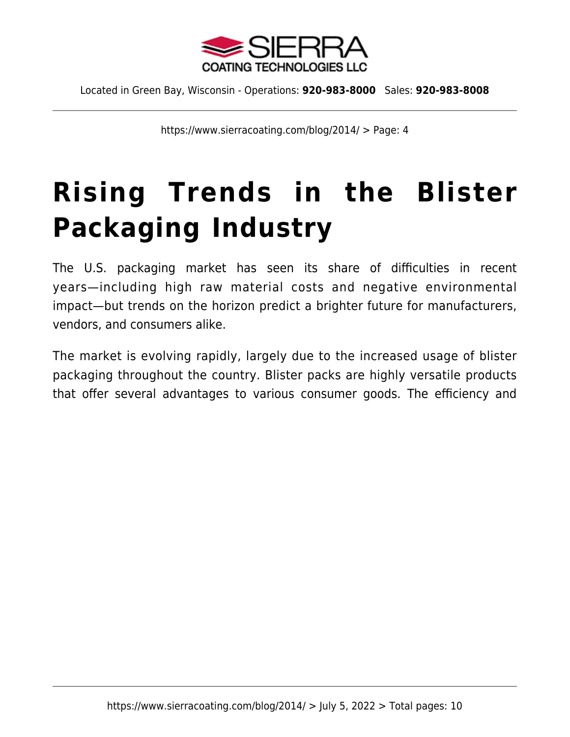

https://www.sierracoating.com/blog/2014/ > Page: 4

# **[Rising Trends in the Blister](https://www.sierracoating.com/blog/rising-trends-blister-packaging/) [Packaging Industry](https://www.sierracoating.com/blog/rising-trends-blister-packaging/)**

The U.S. packaging market has seen its share of difficulties in recent years—including high raw material costs and negative environmental impact—but trends on the horizon predict a brighter future for manufacturers, vendors, and consumers alike.

The market is evolving rapidly, largely due to the increased usage of blister packaging throughout the country. Blister packs are highly versatile products that offer several advantages to various consumer goods. The efficiency and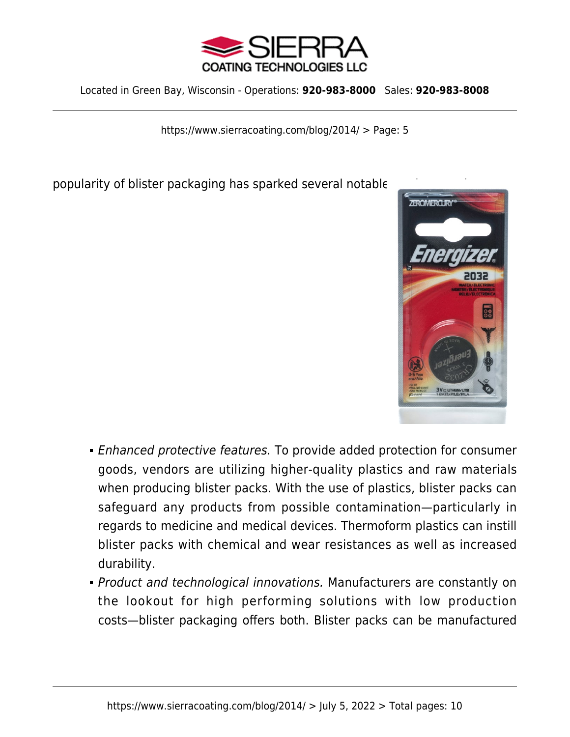

https://www.sierracoating.com/blog/2014/ > Page: 5

popularity of blister packaging has sparked several notable



- Enhanced protective features. To provide added protection for consumer goods, vendors are utilizing higher-quality plastics and raw materials when producing blister packs. With the use of plastics, blister packs can safeguard any products from possible contamination—particularly in regards to medicine and medical devices. Thermoform plastics can instill blister packs with chemical and wear resistances as well as increased durability.
- Product and technological innovations. Manufacturers are constantly on the lookout for high performing solutions with low production costs—blister packaging offers both. Blister packs can be manufactured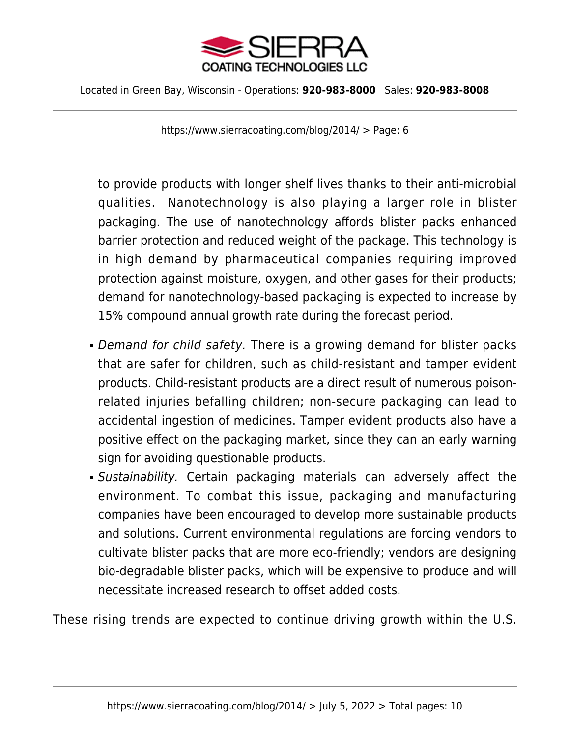

https://www.sierracoating.com/blog/2014/ > Page: 6

to provide products with longer shelf lives thanks to their anti-microbial qualities. Nanotechnology is also playing a larger role in blister packaging. The use of nanotechnology affords blister packs enhanced barrier protection and reduced weight of the package. This technology is in high demand by pharmaceutical companies requiring improved protection against moisture, oxygen, and other gases for their products; demand for nanotechnology-based packaging is expected to increase by 15% compound annual growth rate during the forecast period.

- Demand for child safety. There is a growing demand for blister packs that are safer for children, such as child-resistant and tamper evident products. Child-resistant products are a direct result of numerous poisonrelated injuries befalling children; non-secure packaging can lead to accidental ingestion of medicines. Tamper evident products also have a positive effect on the packaging market, since they can an early warning sign for avoiding questionable products.
- Sustainability. Certain packaging materials can adversely affect the environment. To combat this issue, packaging and manufacturing companies have been encouraged to develop more sustainable products and solutions. Current environmental regulations are forcing vendors to cultivate blister packs that are more eco-friendly; vendors are designing bio-degradable blister packs, which will be expensive to produce and will necessitate increased research to offset added costs.

These rising trends are expected to continue driving growth within the U.S.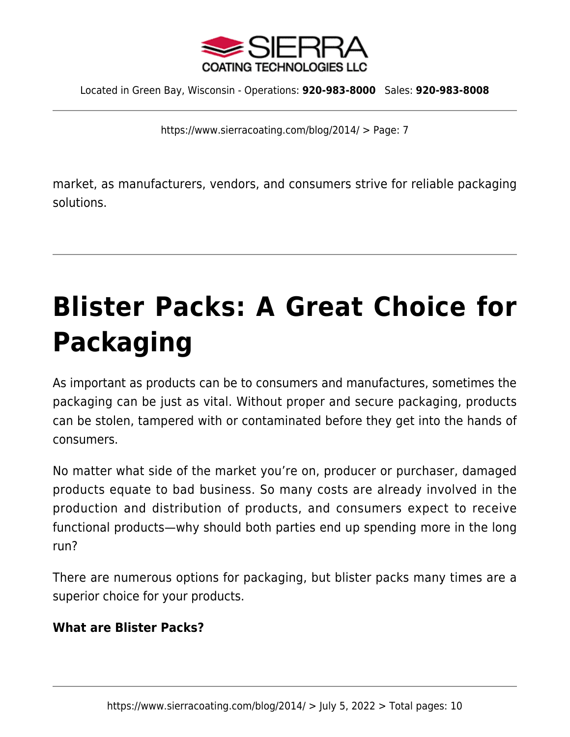

https://www.sierracoating.com/blog/2014/ > Page: 7

market, as manufacturers, vendors, and consumers strive for reliable packaging solutions.

# **[Blister Packs: A Great Choice for](https://www.sierracoating.com/blog/blister-packs-great-choice-packaging/) [Packaging](https://www.sierracoating.com/blog/blister-packs-great-choice-packaging/)**

As important as products can be to consumers and manufactures, sometimes the packaging can be just as vital. Without proper and secure packaging, products can be stolen, tampered with or contaminated before they get into the hands of consumers.

No matter what side of the market you're on, producer or purchaser, damaged products equate to bad business. So many costs are already involved in the production and distribution of products, and consumers expect to receive functional products—why should both parties end up spending more in the long run?

There are numerous options for packaging, but blister packs many times are a superior choice for your products.

### **What are Blister Packs?**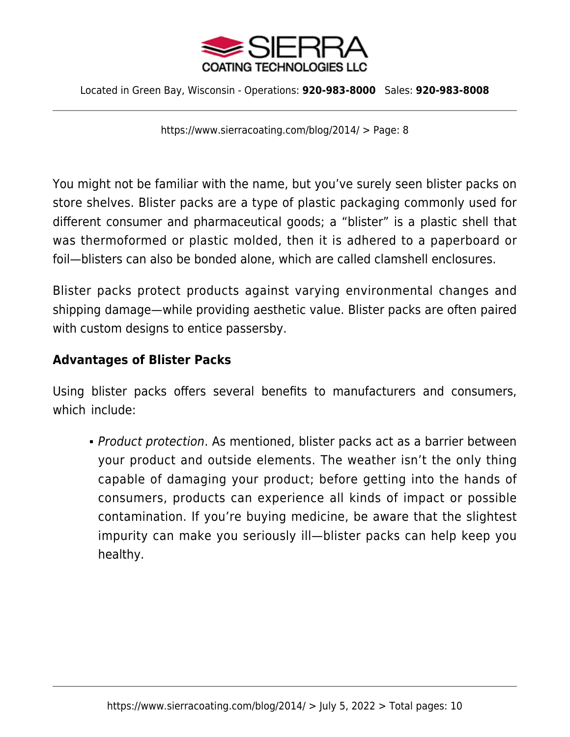

https://www.sierracoating.com/blog/2014/ > Page: 8

You might not be familiar with the name, but you've surely seen blister packs on store shelves. Blister packs are a type of plastic packaging commonly used for different consumer and pharmaceutical goods; a "blister" is a plastic shell that was thermoformed or plastic molded, then it is adhered to a paperboard or foil—blisters can also be bonded alone, which are called clamshell enclosures.

Blister packs protect products against varying environmental changes and shipping damage—while providing aesthetic value. Blister packs are often paired with custom designs to entice passersby.

#### **Advantages of Blister Packs**

Using blister packs offers several benefits to manufacturers and consumers, which include:

• Product protection. As mentioned, blister packs act as a barrier between your product and outside elements. The weather isn't the only thing capable of damaging your product; before getting into the hands of consumers, products can experience all kinds of impact or possible contamination. If you're buying medicine, be aware that the slightest impurity can make you seriously ill—blister packs can help keep you healthy.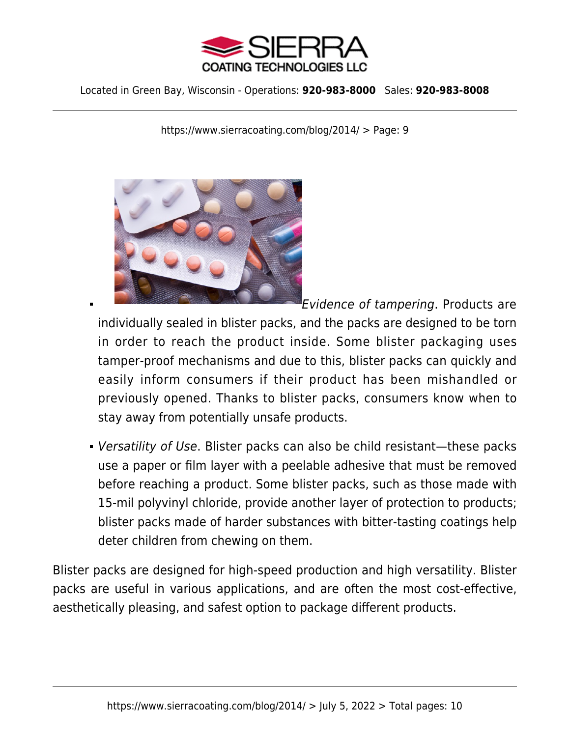

https://www.sierracoating.com/blog/2014/ > Page: 9



Evidence of tampering. Products are

individually sealed in blister packs, and the packs are designed to be torn in order to reach the product inside. Some blister packaging uses tamper-proof mechanisms and due to this, blister packs can quickly and easily inform consumers if their product has been mishandled or previously opened. Thanks to blister packs, consumers know when to stay away from potentially unsafe products.

Versatility of Use. Blister packs can also be child resistant—these packs use a paper or film layer with a peelable adhesive that must be removed before reaching a product. Some blister packs, such as those made with 15-mil polyvinyl chloride, provide another layer of protection to products; blister packs made of harder substances with bitter-tasting coatings help deter children from chewing on them.

Blister packs are designed for high-speed production and high versatility. Blister packs are useful in various applications, and are often the most cost-effective, aesthetically pleasing, and safest option to package different products.